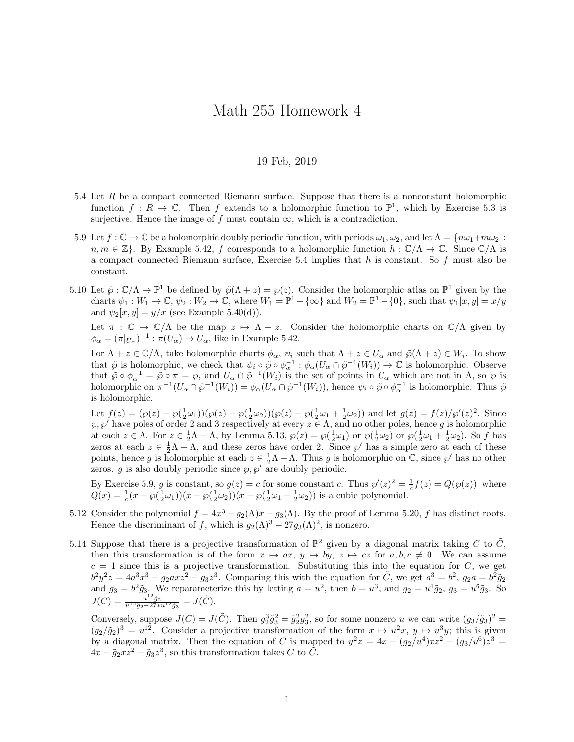## Math 255 Homework 4

## 19 Feb, 2019

- 5.4 Let R be a compact connected Riemann surface. Suppose that there is a nonconstant holomorphic function  $f: R \to \mathbb{C}$ . Then f extends to a holomorphic function to  $\mathbb{P}^1$ , which by Exercise 5.3 is surjective. Hence the image of f must contain  $\infty$ , which is a contradiction.
- 5.9 Let  $f: \mathbb{C} \to \mathbb{C}$  be a holomorphic doubly periodic function, with periods  $\omega_1, \omega_2$ , and let  $\Lambda = \{n\omega_1 + m\omega_2 :$  $n, m \in \mathbb{Z}$ . By Example 5.42, f corresponds to a holomorphic function  $h : \mathbb{C}/\Lambda \to \mathbb{C}$ . Since  $\mathbb{C}/\Lambda$  is a compact connected Riemann surface, Exercise  $5.4$  implies that h is constant. So f must also be constant.
- 5.10 Let  $\tilde{\varphi}: \mathbb{C}/\Lambda \to \mathbb{P}^1$  be defined by  $\tilde{\varphi}(\Lambda + z) = \varphi(z)$ . Consider the holomorphic atlas on  $\mathbb{P}^1$  given by the charts  $\psi_1: W_1 \to \mathbb{C}, \psi_2: W_2 \to \mathbb{C}, \text{ where } W_1 = \mathbb{P}^1 - \{\infty\} \text{ and } W_2 = \mathbb{P}^1 - \{0\}, \text{ such that } \psi_1[x, y] = x/y$ and  $\psi_2[x, y] = y/x$  (see Example 5.40(d)).

Let  $\pi : \mathbb{C} \to \mathbb{C}/\Lambda$  be the map  $z \mapsto \Lambda + z$ . Consider the holomorphic charts on  $\mathbb{C}/\Lambda$  given by  $\phi_{\alpha} = (\pi|_{U_{\alpha}})^{-1} : \pi(U_{\alpha}) \to U_{\alpha}$ , like in Example 5.42.

For  $\Lambda + z \in \mathbb{C}/\Lambda$ , take holomorphic charts  $\phi_{\alpha}$ ,  $\psi_i$  such that  $\Lambda + z \in U_{\alpha}$  and  $\tilde{\wp}(\Lambda + z) \in W_i$ . To show that  $\tilde{\varphi}$  is holomorphic, we check that  $\psi_i \circ \tilde{\varphi} \circ \phi_{\alpha}^{-1} : \phi_{\alpha}(U_{\alpha} \cap \tilde{\varphi}^{-1}(W_i)) \to \mathbb{C}$  is holomorphic. Observe that  $\tilde{\varphi} \circ \phi_{\alpha}^{-1} = \tilde{\varphi} \circ \pi = \varphi$ , and  $U_{\alpha} \cap \tilde{\varphi}^{-1}(W_i)$  is the set of points in  $U_{\alpha}$  which are not in  $\Lambda$ , so  $\varphi$  is holomorphic on  $\pi^{-1}(U_\alpha \cap \tilde{\varphi}^{-1}(W_i)) = \phi_\alpha(U_\alpha \cap \tilde{\varphi}^{-1}(W_i))$ , hence  $\psi_i \circ \tilde{\varphi} \circ \phi_\alpha^{-1}$  is holomorphic. Thus  $\tilde{\varphi}$ is holomorphic.

Let  $f(z) = (\wp(z) - \wp(\frac{1}{2}\omega_1))(\wp(z) - \wp(\frac{1}{2}\omega_2))(\wp(z) - \wp(\frac{1}{2}\omega_1 + \frac{1}{2}\omega_2))$  and let  $g(z) = f(z)/\wp'(z)^2$ . Since  $\wp, \wp'$  have poles of order 2 and 3 respectively at every  $z \in \Lambda$ , and no other poles, hence g is holomorphic at each  $z \in \Lambda$ . For  $z \in \frac{1}{2}\Lambda - \Lambda$ , by Lemma 5.13,  $\wp(z) = \wp(\frac{1}{2}\omega_1)$  or  $\wp(\frac{1}{2}\omega_2)$  or  $\wp(\frac{1}{2}\omega_1 + \frac{1}{2}\omega_2)$ . So f has zeros at each  $z \in \frac{1}{2}\Lambda - \Lambda$ , and these zeros have order 2. Since  $\wp'$  has a simple zero at each of these points, hence g is holomorphic at each  $z \in \frac{1}{2}\Lambda - \Lambda$ . Thus g is holomorphic on  $\mathbb{C}$ , since  $\wp'$  has no other zeros.  $g$  is also doubly periodic since  $\wp, \wp'$  are doubly periodic.

By Exercise 5.9, g is constant, so  $g(z) = c$  for some constant c. Thus  $\wp'(z)^2 = \frac{1}{c}f(z) = Q(\wp(z))$ , where  $Q(x) = \frac{1}{c}(x - \wp(\frac{1}{2}\omega_1))(x - \wp(\frac{1}{2}\omega_2))(x - \wp(\frac{1}{2}\omega_1 + \frac{1}{2}\omega_2))$  is a cubic polynomial.

- 5.12 Consider the polynomial  $f = 4x^3 g_2(\Lambda)x g_3(\Lambda)$ . By the proof of Lemma 5.20, f has distinct roots. Hence the discriminant of f, which is  $g_2(\Lambda)^3 - 27g_3(\Lambda)^2$ , is nonzero.
- 5.14 Suppose that there is a projective transformation of  $\mathbb{P}^2$  given by a diagonal matrix taking C to  $\tilde{C}$ , then this transformation is of the form  $x \mapsto ax$ ,  $y \mapsto by$ ,  $z \mapsto cz$  for  $a, b, c \neq 0$ . We can assume  $c = 1$  since this is a projective transformation. Substituting this into the equation for C, we get  $b^2y^2z = 4a^3x^3 - g_2axz^2 - g_3z^3$ . Comparing this with the equation for  $\tilde{C}$ , we get  $a^3 = b^2$ ,  $g_2a = b^2\tilde{g}_2$ and  $g_3 = b^2 \tilde{g}_3$ . We reparameterize this by letting  $a = u^2$ , then  $b = u^3$ , and  $g_2 = u^4 \tilde{g}_2$ ,  $g_3 = u^6 \tilde{g}_3$ . So  $J(C) = \frac{u^{12}\tilde{g}_2}{u^{12}\tilde{g}_2 - 27*u^{12}\tilde{g}_3} = J(\tilde{C}).$

Conversely, suppose  $J(C) = J(\tilde{C})$ . Then  $g_2^3 \tilde{g}_3^2 = \tilde{g}_2^2 g_3^2$ , so for some nonzero u we can write  $(g_3/\tilde{g}_3)^2 =$  $(g_2/\tilde{g}_2)^3 = u^{12}$ . Consider a projective transformation of the form  $x \mapsto u^2x$ ,  $y \mapsto u^3y$ ; this is given by a diagonal matrix. Then the equation of C is mapped to  $y^2z = 4x - (g_2/u^4)xz^2 - (g_3/u^6)z^3 =$  $4x - \tilde{g}_2 x z^2 - \tilde{g}_3 z^3$ , so this transformation takes C to  $\tilde{C}$ .